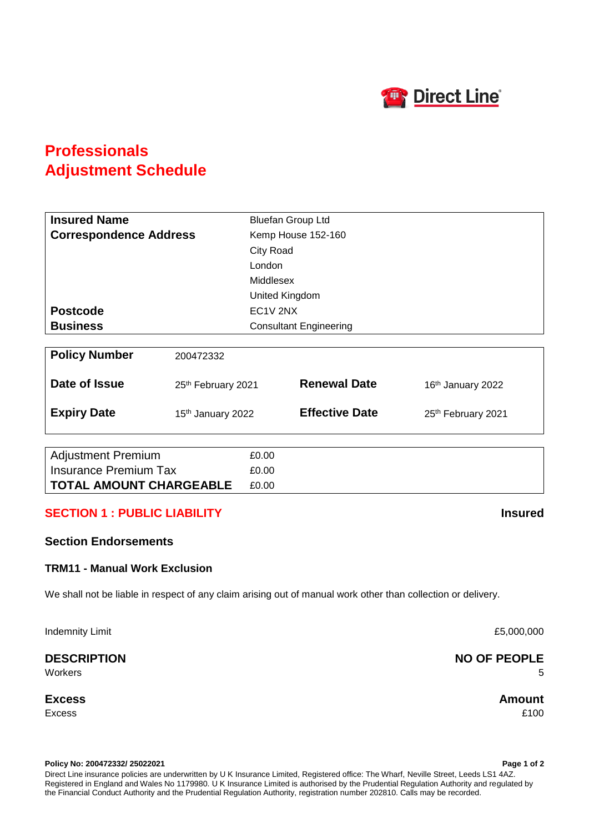

# **Professionals Adjustment Schedule**

| <b>Insured Name</b>           |                               | <b>Bluefan Group Ltd</b>      |                               |  |
|-------------------------------|-------------------------------|-------------------------------|-------------------------------|--|
| <b>Correspondence Address</b> |                               | Kemp House 152-160            |                               |  |
|                               |                               | City Road                     |                               |  |
|                               | London                        |                               |                               |  |
|                               |                               | Middlesex                     |                               |  |
|                               |                               | United Kingdom                |                               |  |
| <b>Postcode</b>               |                               | EC1V 2NX                      |                               |  |
| <b>Business</b>               |                               | <b>Consultant Engineering</b> |                               |  |
|                               |                               |                               |                               |  |
| <b>Policy Number</b>          | 200472332                     |                               |                               |  |
| Date of Issue                 | 25th February 2021            | <b>Renewal Date</b>           | 16 <sup>th</sup> January 2022 |  |
| <b>Expiry Date</b>            | 15 <sup>th</sup> January 2022 | <b>Effective Date</b>         | 25th February 2021            |  |
|                               |                               |                               |                               |  |
| <b>Adjustment Premium</b>     | £0.00                         |                               |                               |  |
| <b>Insurance Premium Tax</b>  | £0.00                         |                               |                               |  |

### **SECTION 1 : PUBLIC LIABILITY Insured**

**TOTAL AMOUNT CHARGEABLE** £0.00

### **Section Endorsements**

#### **TRM11 - Manual Work Exclusion**

We shall not be liable in respect of any claim arising out of manual work other than collection or delivery.

Indemnity Limit **E5,000,000** 

**Excess Amount**

Excess £100

**Policy No: 200472332/ 25022021 Page 1 of 2** Direct Line insurance policies are underwritten by U K Insurance Limited, Registered office: The Wharf, Neville Street, Leeds LS1 4AZ. Registered in England and Wales No 1179980. U K Insurance Limited is authorised by the Prudential Regulation Authority and regulated by the Financial Conduct Authority and the Prudential Regulation Authority, registration number 202810. Calls may be recorded.

### **DESCRIPTION NO OF PEOPLE** Workers 5